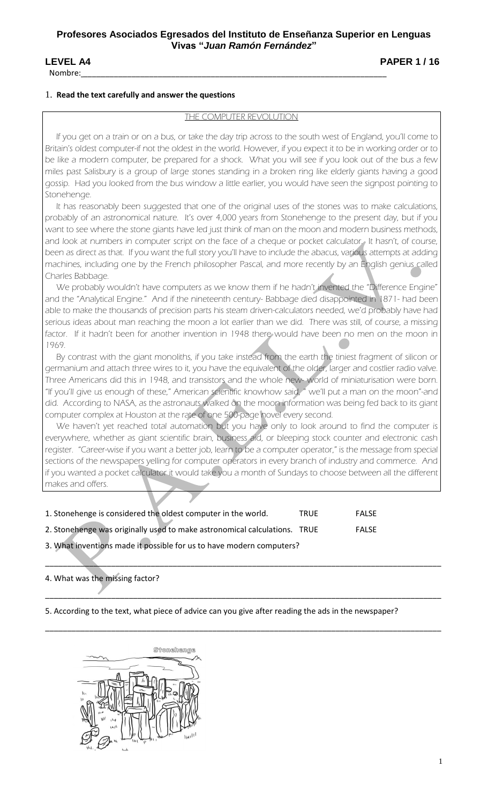Nombre: \_\_\_\_\_\_\_\_\_\_\_\_\_\_\_\_\_\_\_\_\_\_\_\_\_\_\_\_\_\_\_\_\_\_\_\_\_\_\_\_\_\_\_\_\_\_\_\_\_\_\_\_\_\_\_\_\_\_\_\_\_\_\_\_\_\_\_\_\_

**LEVEL A4** PAPER 1 / 16

## 1. **Read the text carefully and answer the questions**

## THE COMPUTER REVOLUTION

 If you get on a train or on a bus, or take the day trip across to the south west of England, you'll come to Britain's oldest computer-if not the oldest in the world. However, if you expect it to be in working order or to be like a modern computer, be prepared for a shock. What you will see if you look out of the bus a few miles past Salisbury is a group of large stones standing in a broken ring like elderly giants having a good gossip. Had you looked from the bus window a little earlier, you would have seen the signpost pointing to Stonehenge.

 It has reasonably been suggested that one of the original uses of the stones was to make calculations, probably of an astronomical nature. It's over 4,000 years from Stonehenge to the present day, but if you want to see where the stone giants have led just think of man on the moon and modern business methods, and look at numbers in computer script on the face of a cheque or pocket calculator. It hasn't, of course, been as direct as that. If you want the full story you'll have to include the abacus, various attempts at adding machines, including one by the French philosopher Pascal, and more recently by an English genius called Charles Babbage.

 We probably wouldn't have computers as we know them if he hadn't invented the "Difference Engine" and the "Analytical Engine." And if the nineteenth century- Babbage died disappointed in 1871- had been able to make the thousands of precision parts his steam driven-calculators needed, we'd probably have had serious ideas about man reaching the moon a lot earlier than we did. There was still, of course, a missing factor. If it hadn't been for another invention in 1948 there would have been no men on the moon in 1969.

 By contrast with the giant monoliths, if you take instead from the earth the tiniest fragment of silicon or germanium and attach three wires to it, you have the equivalent of the older, larger and costlier radio valve. Three Americans did this in 1948, and transistors and the whole new- world of miniaturisation were born. "If you'll give us enough of these," American scientific knowhow said, " we'll put a man on the moon"-and did. According to NASA, as the astronauts walked on the moon information was being fed back to its giant computer complex at Houston at the rate of one 500-page novel every second.

We haven't yet reached total automation but you have only to look around to find the computer is everywhere, whether as giant scientific brain, business aid, or bleeping stock counter and electronic cash register. "Career-wise if you want a better job, learn to be a computer operator," is the message from special sections of the newspapers yelling for computer operators in every branch of industry and commerce. And if you wanted a pocket calculator it would take you a month of Sundays to choose between all the different makes and offers.

\_\_\_\_\_\_\_\_\_\_\_\_\_\_\_\_\_\_\_\_\_\_\_\_\_\_\_\_\_\_\_\_\_\_\_\_\_\_\_\_\_\_\_\_\_\_\_\_\_\_\_\_\_\_\_\_\_\_\_\_\_\_\_\_\_\_\_\_\_\_\_\_\_\_\_\_\_\_\_\_\_\_\_\_\_\_\_\_\_\_

\_\_\_\_\_\_\_\_\_\_\_\_\_\_\_\_\_\_\_\_\_\_\_\_\_\_\_\_\_\_\_\_\_\_\_\_\_\_\_\_\_\_\_\_\_\_\_\_\_\_\_\_\_\_\_\_\_\_\_\_\_\_\_\_\_\_\_\_\_\_\_\_\_\_\_\_\_\_\_\_\_\_\_\_\_\_\_\_\_\_

\_\_\_\_\_\_\_\_\_\_\_\_\_\_\_\_\_\_\_\_\_\_\_\_\_\_\_\_\_\_\_\_\_\_\_\_\_\_\_\_\_\_\_\_\_\_\_\_\_\_\_\_\_\_\_\_\_\_\_\_\_\_\_\_\_\_\_\_\_\_\_\_\_\_\_\_\_\_\_\_\_\_\_\_\_\_\_\_\_\_

| 1. Stonehenge is considered the oldest computer in the world.             | <b>TRUF</b> | <b>FALSF</b> |
|---------------------------------------------------------------------------|-------------|--------------|
| 2. Stonehenge was originally used to make astronomical calculations. TRUE |             | <b>FALSF</b> |
| 3. What inventions made it possible for us to have modern computers?      |             |              |

# 4. What was the missing factor?

5. According to the text, what piece of advice can you give after reading the ads in the newspaper?

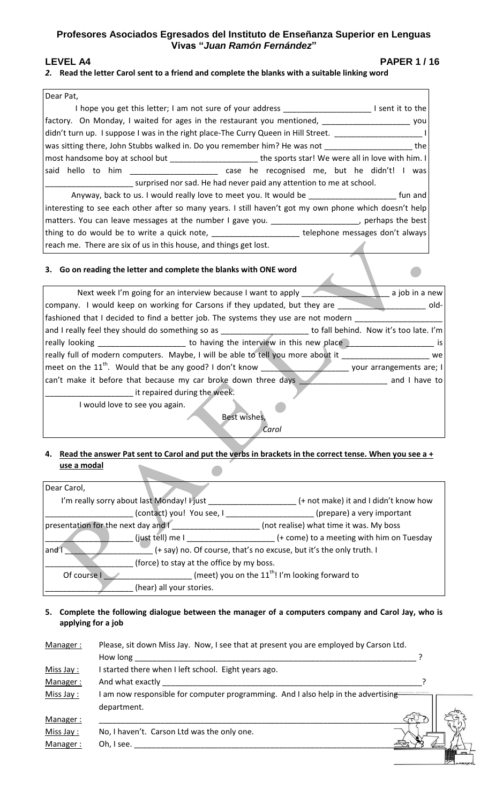# **Profesores Asociados Egresados del Instituto de Enseñanza Superior en Lenguas Vivas "***Juan Ramón Fernández***"**

**LEVEL A4** PAPER 1/16

2

## *2.* **Read the letter Carol sent to a friend and complete the blanks with a suitable linking word**

| Dear Pat,                                                                                                  |
|------------------------------------------------------------------------------------------------------------|
| I hope you get this letter; I am not sure of your address<br>I sent it to the                              |
| factory. On Monday, I waited for ages in the restaurant you mentioned,<br>you                              |
| didn't turn up. I suppose I was in the right place-The Curry Queen in Hill Street.                         |
| was sitting there, John Stubbs walked in. Do you remember him? He was not<br>the                           |
| most handsome boy at school but __________________________the sports star! We were all in love with him. I |
| said hello to him _______________________ case he recognised me, but he didn't! I was                      |
| surprised nor sad. He had never paid any attention to me at school.                                        |
| Anyway, back to us. I would really love to meet you. It would be<br>fun and                                |
| interesting to see each other after so many years. I still haven't got my own phone which doesn't help     |
| matters. You can leave messages at the number I gave you. _____________________, perhaps the best          |
| thing to do would be to write a quick note, ________________________telephone messages don't always        |
| reach me. There are six of us in this house, and things get lost.                                          |

#### **3. Go on reading the letter and complete the blanks with ONE word**

| Next week I'm going for an interview because I want to apply<br>a job in a new                             |  |  |
|------------------------------------------------------------------------------------------------------------|--|--|
| company. I would keep on working for Carsons if they updated, but they are<br>old-                         |  |  |
| fashioned that I decided to find a better job. The systems they use are not modern                         |  |  |
| and I really feel they should do something so as<br>to fall behind. Now it's too late. I'm                 |  |  |
| _______________________ to having the interview in this new place<br>really looking<br>1S                  |  |  |
| really full of modern computers. Maybe, I will be able to tell you more about it<br>we                     |  |  |
| meet on the $11^{\text{th}}$ . Would that be any good? I don't know $\sqrt{ }$<br>your arrangements are; I |  |  |
| can't make it before that because my car broke down three days<br>and I have to                            |  |  |
| it repaired during the week.                                                                               |  |  |
| I would love to see you again.                                                                             |  |  |
| Best wishes,                                                                                               |  |  |
| Carol                                                                                                      |  |  |

 $\blacktriangle$ 

### **4. Read the answer Pat sent to Carol and put the verbs in brackets in the correct tense. When you see a + use a modal**

| Dear Carol,                                                                |                                           |
|----------------------------------------------------------------------------|-------------------------------------------|
| I'm really sorry about last Monday! I just                                 | (+ not make) it and I didn't know how     |
| (contact) you! You see, I                                                  | (prepare) a very important                |
| presentation for the next day and I                                        | (not realise) what time it was. My boss   |
| (just tell) me I                                                           | (+ come) to a meeting with him on Tuesday |
| (+ say) no. Of course, that's no excuse, but it's the only truth. I<br>and |                                           |
| (force) to stay at the office by my boss.                                  |                                           |
| (meet) you on the $11^{th}$ ! I'm looking forward to<br>Of course I        |                                           |
| (hear) all your stories.                                                   |                                           |

## **5. Complete the following dialogue between the manager of a computers company and Carol Jay, who is applying for a job**

| Manager:  | Please, sit down Miss Jay. Now, I see that at present you are employed by Carson Ltd. |  |
|-----------|---------------------------------------------------------------------------------------|--|
|           | How long                                                                              |  |
| Miss Jay: | I started there when I left school. Eight years ago.                                  |  |
| Manager:  | And what exactly                                                                      |  |
| Miss Jay: | I am now responsible for computer programming. And I also help in the advertising     |  |
|           | department.                                                                           |  |
| Manager:  |                                                                                       |  |
| Miss Jay: | No, I haven't. Carson Ltd was the only one.                                           |  |
| Manager:  | Oh, I see.                                                                            |  |
|           |                                                                                       |  |